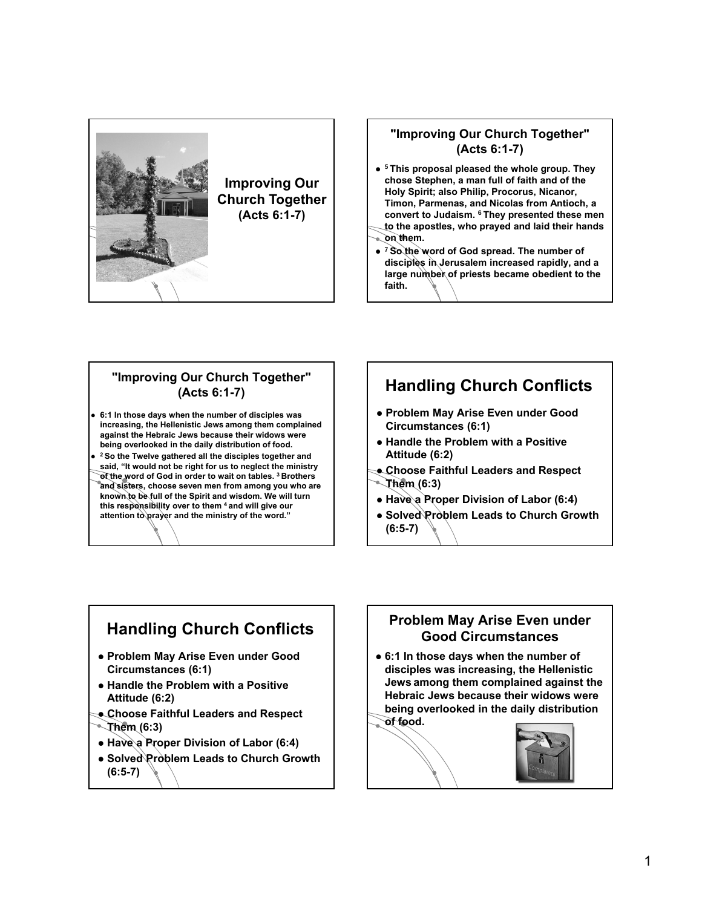

#### **"Improving Our Church Together" (Acts 6:1-7)**

- **<sup>5</sup> This proposal pleased the whole group. They chose Stephen, a man full of faith and of the Holy Spirit; also Philip, Procorus, Nicanor, Timon, Parmenas, and Nicolas from Antioch, a convert to Judaism. 6 They presented these men to the apostles, who prayed and laid their hands on them.**
- **<sup>7</sup> So the word of God spread. The number of disciples in Jerusalem increased rapidly, and a large number of priests became obedient to the faith.**

#### **"Improving Our Church Together" (Acts 6:1-7)**

- **6:1 In those days when the number of disciples was increasing, the Hellenistic Jews among them complained against the Hebraic Jews because their widows were being overlooked in the daily distribution of food.**
- **<sup>2</sup> So the Twelve gathered all the disciples together and said, "It would not be right for us to neglect the ministry of the word of God in order to wait on tables. 3 Brothers and sisters, choose seven men from among you who are known to be full of the Spirit and wisdom. We will turn this responsibility over to them 4 and will give our attention to prayer and the ministry of the word."**

# **Handling Church Conflicts**

- **Problem May Arise Even under Good Circumstances (6:1)**
- **Handle the Problem with a Positive Attitude (6:2)**
- **Choose Faithful Leaders and Respect Them (6:3)**
- **Have a Proper Division of Labor (6:4)**
- **Solved Problem Leads to Church Growth (6:5-7)**

## **Handling Church Conflicts**

- **Problem May Arise Even under Good Circumstances (6:1)**
- **Handle the Problem with a Positive Attitude (6:2)**
- **Choose Faithful Leaders and Respect Them (6:3)**
- **Have a Proper Division of Labor (6:4)**
- **Solved Problem Leads to Church Growth (6:5-7)**

## **Problem May Arise Even under Good Circumstances**

 **6:1 In those days when the number of disciples was increasing, the Hellenistic Jews among them complained against the Hebraic Jews because their widows were being overlooked in the daily distribution** 

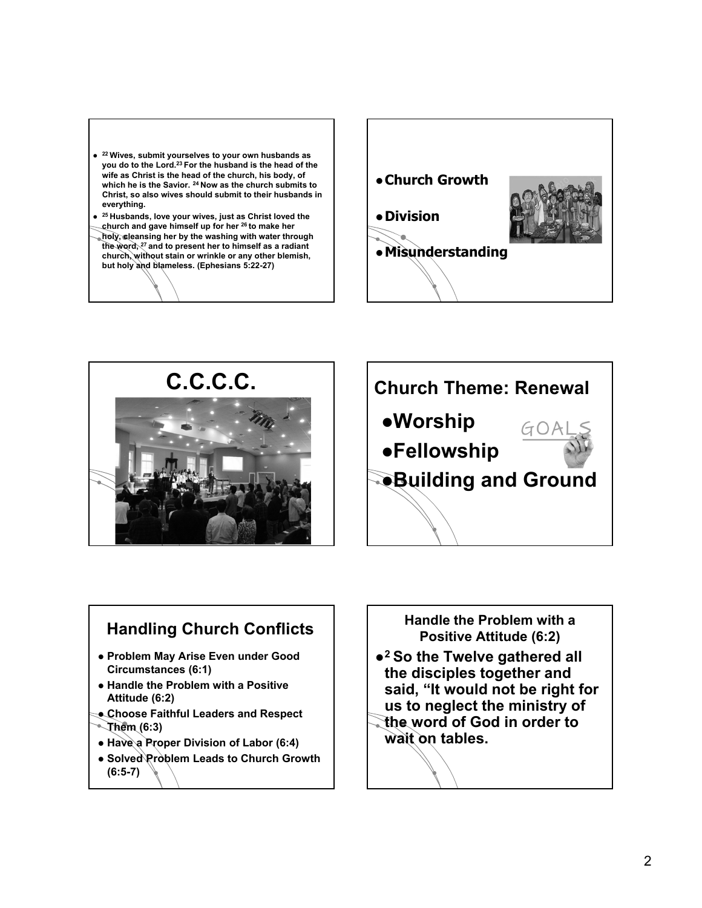- **<sup>22</sup> Wives, submit yourselves to your own husbands as you do to the Lord.23 For the husband is the head of the wife as Christ is the head of the church, his body, of which he is the Savior. <sup>24</sup> Now as the church submits to Christ, so also wives should submit to their husbands in everything.**
- **<sup>25</sup> Husbands, love your wives, just as Christ loved the church and gave himself up for her <sup>26</sup> to make her**
- **holy, cleansing her by the washing with water through the word, <sup>27</sup> and to present her to himself as a radiant church, without stain or wrinkle or any other blemish, but holy and blameless. (Ephesians 5:22-27)**







## **Handling Church Conflicts**

- **Problem May Arise Even under Good Circumstances (6:1)**
- **Handle the Problem with a Positive Attitude (6:2)**
- **Choose Faithful Leaders and Respect Them (6:3)**
- **Have a Proper Division of Labor (6:4)**
- **Solved Problem Leads to Church Growth (6:5-7)**

### **Handle the Problem with a Positive Attitude (6:2)**

- **<sup>2</sup> So the Twelve gathered all the disciples together and said, "It would not be right for us to neglect the ministry of the word of God in order to**
- **wait on tables.**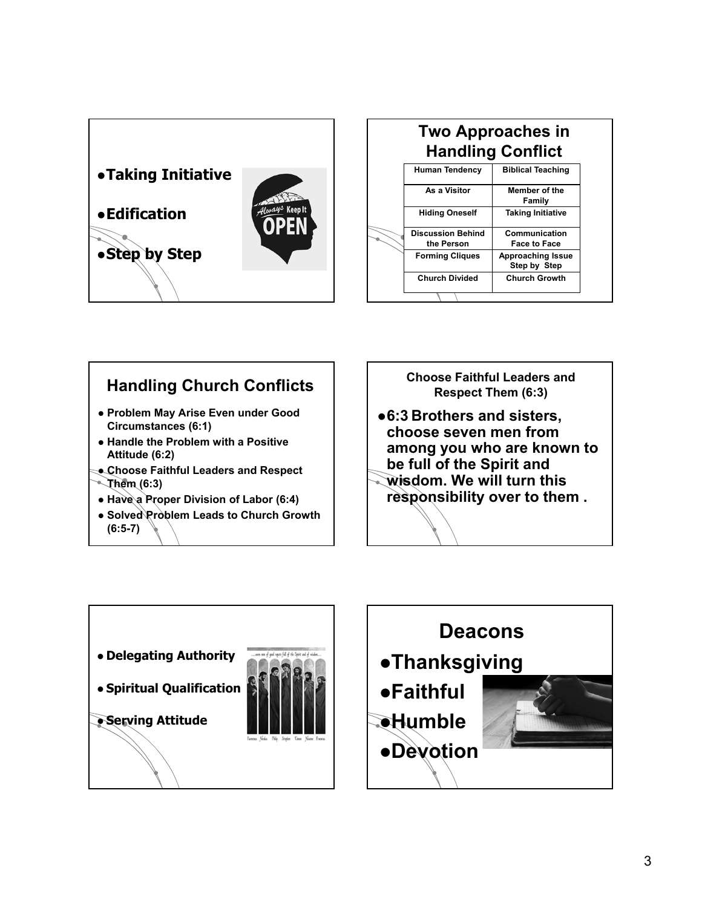

|  | <b>Two Approaches in</b><br><b>Handling Conflict</b> |                                          |  |
|--|------------------------------------------------------|------------------------------------------|--|
|  | <b>Human Tendency</b>                                | <b>Biblical Teaching</b>                 |  |
|  | As a Visitor                                         | <b>Member of the</b><br>Family           |  |
|  | <b>Hiding Oneself</b>                                | <b>Taking Initiative</b>                 |  |
|  | <b>Discussion Behind</b><br>the Person               | Communication<br><b>Face to Face</b>     |  |
|  | <b>Forming Cliques</b>                               | <b>Approaching Issue</b><br>Step by Step |  |
|  | <b>Church Divided</b>                                | <b>Church Growth</b>                     |  |
|  |                                                      |                                          |  |

## **Handling Church Conflicts**

- **Problem May Arise Even under Good Circumstances (6:1)**
- **Handle the Problem with a Positive Attitude (6:2)**
- **Choose Faithful Leaders and Respect Them (6:3)**
- **Have a Proper Division of Labor (6:4)**
- **Solved Problem Leads to Church Growth (6:5-7)**

### **Choose Faithful Leaders and Respect Them (6:3)**

**6:3 Brothers and sisters, choose seven men from among you who are known to be full of the Spirit and wisdom. We will turn this responsibility over to them .**



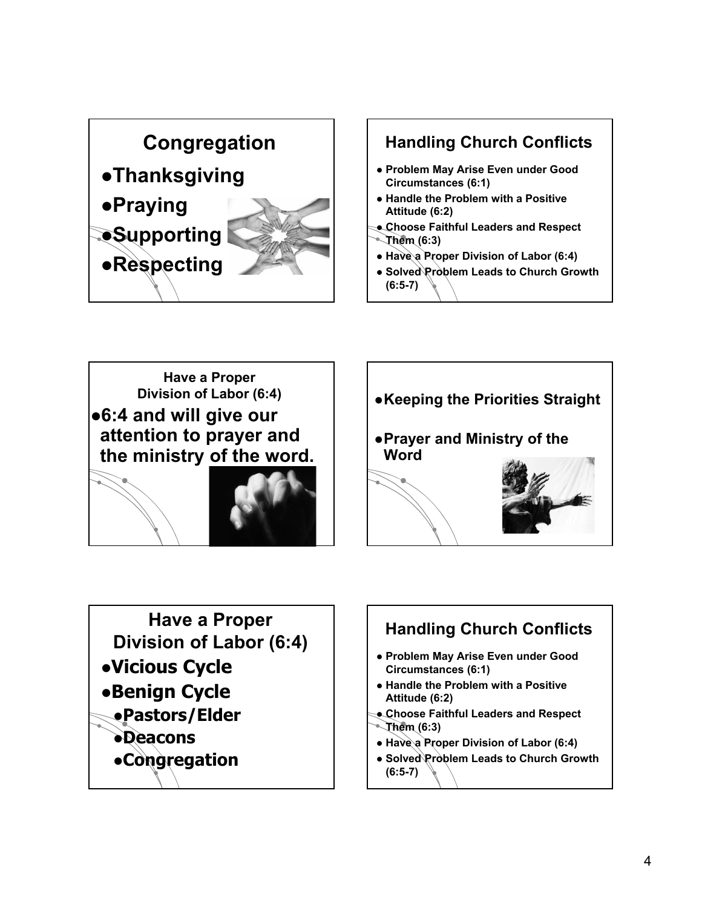